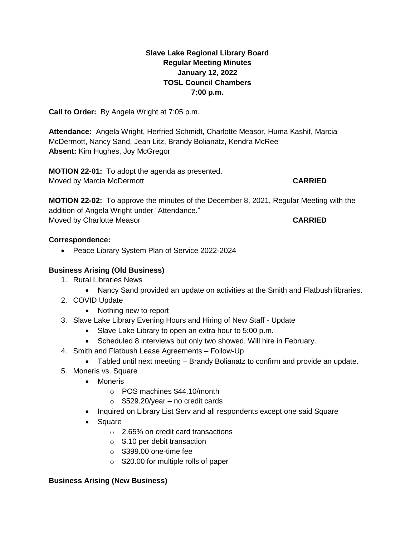# **Slave Lake Regional Library Board Regular Meeting Minutes January 12, 2022 TOSL Council Chambers 7:00 p.m.**

**Call to Order:** By Angela Wright at 7:05 p.m.

**Attendance:** Angela Wright, Herfried Schmidt, Charlotte Measor, Huma Kashif, Marcia McDermott, Nancy Sand, Jean Litz, Brandy Bolianatz, Kendra McRee **Absent:** Kim Hughes, Joy McGregor

**MOTION 22-01:** To adopt the agenda as presented. Moved by Marcia McDermott **CARRIED**

**MOTION 22-02:** To approve the minutes of the December 8, 2021, Regular Meeting with the addition of Angela Wright under "Attendance." Moved by Charlotte Measor **CARRIED**

## **Correspondence:**

• Peace Library System Plan of Service 2022-2024

# **Business Arising (Old Business)**

- 1. Rural Libraries News
	- Nancy Sand provided an update on activities at the Smith and Flatbush libraries.
- 2. COVID Update
	- Nothing new to report
- 3. Slave Lake Library Evening Hours and Hiring of New Staff Update
	- Slave Lake Library to open an extra hour to 5:00 p.m.
	- Scheduled 8 interviews but only two showed. Will hire in February.
- 4. Smith and Flatbush Lease Agreements Follow-Up
	- Tabled until next meeting Brandy Bolianatz to confirm and provide an update.
- 5. Moneris vs. Square
	- Moneris
		- o POS machines \$44.10/month
		- $\circ$  \$529.20/year no credit cards
	- Inquired on Library List Serv and all respondents except one said Square
	- Square
		- o 2.65% on credit card transactions
		- o \$.10 per debit transaction
		- $\circ$  \$399.00 one-time fee
		- o \$20.00 for multiple rolls of paper

## **Business Arising (New Business)**